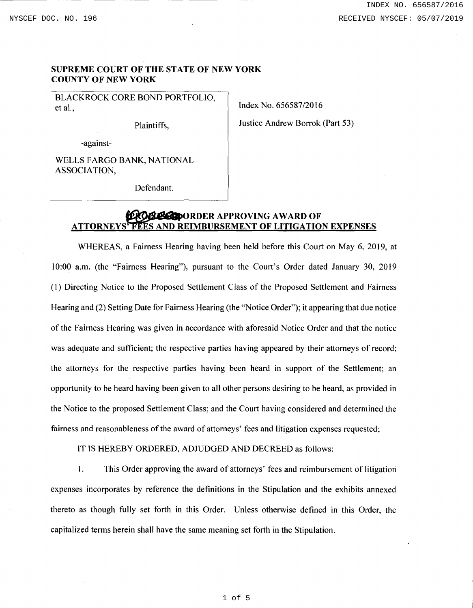## SUPREME COURT OF THE STATE OF NEW YORK COUNTY OF NEW YORK

BLACKROCK CORE BOND PORTFOLIO, et al.,

Plaintiffs,

Index No. 656587/2016 Justice Andrew Borrok (Part 53)

-against-

WELLS FARGO BANK, NATIONAL ASSOCIATION,

Defendant.

## ~dJSIIIDORDER APPROVING AWARD OF ATTORNEYS' FEES AND REIMBURSEMENT OF LITIGATION EXPENSES

WHEREAS, a Fairness Hearing having been held before this Court on May 6, 2019, at 10:00 a.m. (the "Fairness Hearing"), pursuant to the Court's Order dated January 30, 2019 (1) Directing Notice to the Proposed Settlement Class of the Proposed Settlement and Fairness Hearing and (2) Setting Date for Fairness Hearing (the "Notice Order"); it appearing that due notice of the Fairness Hearing was given in accordance with aforesaid Notice Order and that the notice was adequate and sufficient; the respective parties having appeared by their attorneys of record; the attorneys for the respective parties having been heard in support of the Settlement; an opportunity to be heard having been given to all other persons desiring to be heard, as provided in the Notice to the proposed Settlement Class; and the Court having considered and determined the fairness and reasonableness of the award of attorneys' fees and litigation expenses requested;

IT IS HEREBY ORDERED, ADJUDGED AND DECREED as follows:

1. This Order approving the award of attorneys' fees and reimbursement of litigation expenses incorporates by reference the definitions in the Stipulation and the exhibits annexed thereto as though fully set forth in this Order. Unless otherwise defined in this Order, the capitalized terms herein shall have the same meaning set forth in the Stipulation.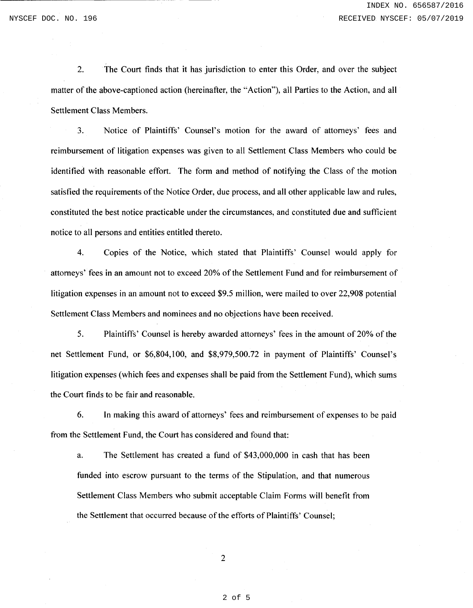2. The Court finds that it has jurisdiction to enter this Order, and over the subject matter of the above-captioned action (hereinafter, the "Action"), all Parties to the Action, and all Settlement Class Members.

3. Notice of Plaintiffs' Counsel's motion for the award of attorneys' fees and reimbursement of litigation expenses was given to all Settlement Class Members who could be identified with reasonable effort. The form and method of notifying the Class of the motion satisfied the requirements of the Notice Order, due process, and all other applicable law and rules, constituted the best notice practicable under the circumstances, and constituted due and sufficient notice to all persons and entities entitled thereto.

4. Copies of the Notice, which stated that Plaintiffs' Counsel would apply for attorneys' fees in an amount not to exceed 20% of the Settlement Fund and for reimbursement of litigation expenses in an amount not to exceed \$9.5 million, were mailed to over 22,908 potential Settlement Class Members and nominees and no objections have been received.

5. Plaintiffs' Counsel is hereby awarded attorneys' fees in the amount of20% of the net Settlement Fund, or \$6,804,100, and \$8,979,500.72 in payment of Plaintiffs' Counsel's litigation expenses (which fees and expenses shall be paid from the Settlement Fund), which sums the Court finds to be fair and reasonable.

6. In making this award of attorneys' fees and reimbursement of expenses to be paid from the Settlement Fund, the Court has considered and found that:

a. The Settlement has created a fund of \$43,000,000 in cash that has been funded into escrow pursuant to the terms of the Stipulation, and that numerous Settlement Class Members who submit acceptable Claim Forms will benefit from the Settlement that occurred because of the efforts of Plaintiffs' Counsel;

2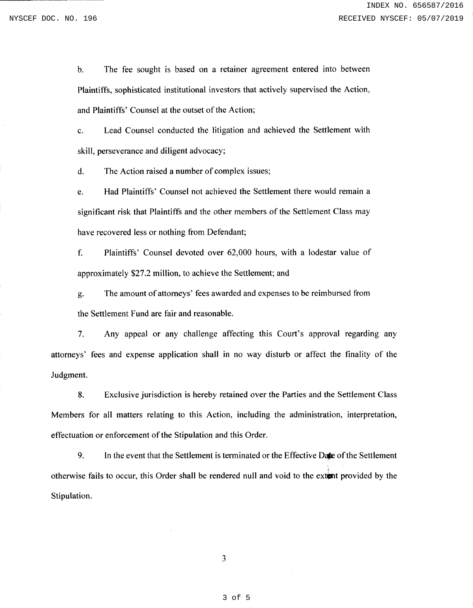b. The fee sought is based on a retainer agreement entered into between Plaintiffs, sophisticated institutional investors that actively supervised the Action, and Plaintiffs' Counsel at the outset of the Action;

c. Lead Counsel conducted the litigation and achieved the Settlement with skill, perseverance and diligent advocacy;

d. The Action raised a number of complex issues;

e. Had Plaintiffs' Counsel not achieved the Settlement there would remain a significant risk that Plaintiffs and the other members of the Settlement Class may have recovered less or nothing from Defendant;

f. Plaintiffs' Counsel devoted over 62,000 hours, with a lodestar value of approximately \$27.2 million, to achieve the Settlement; and

g. The amount of attorneys' fees awarded and expenses to be reimbursed from the Settlement Fund are fair and reasonable.

7. Any appeal or any challenge affecting this Court's approval regarding any attorneys' fees and expense application shall in no way disturb or affect the finality of the Judgment.

8. Exclusive jurisdiction is hereby retained over the Parties and the Settlement Class Members for all matters relating to this Action, including the administration, interpretation, effectuation or enforcement of the Stipulation and this Order.

9. In the event that the Settlement is terminated or the Effective Date of the Settlement otherwise fails to occur, this Order shall be rendered null and void to the extent provided by the Stipulation.

3 of 5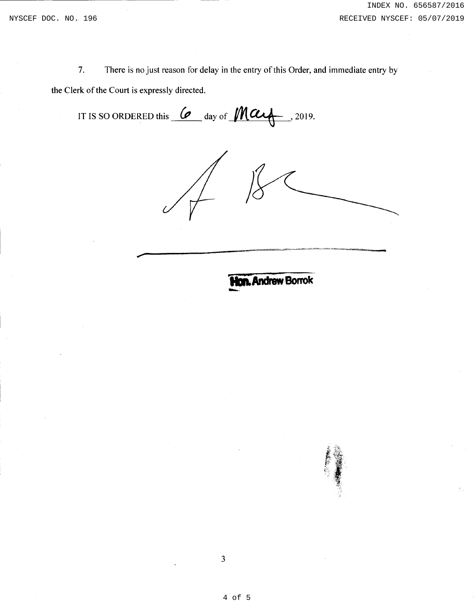7. There is no just reason for delay in the entry of this Order, and immediate entry by the Clerk of the Court is expressly directed.

IT IS SO ORDERED this  $\omega$  day of  $\text{Max}$ , 2019.

*)* 

**PIIDit.Andraw Borrok-** -·